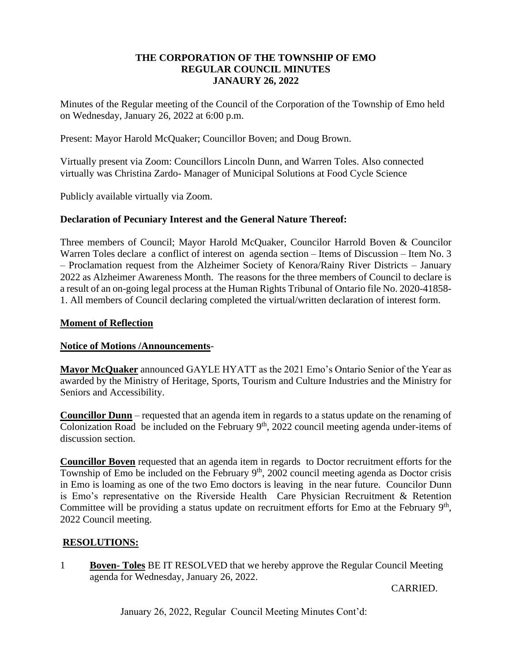#### **THE CORPORATION OF THE TOWNSHIP OF EMO REGULAR COUNCIL MINUTES JANAURY 26, 2022**

Minutes of the Regular meeting of the Council of the Corporation of the Township of Emo held on Wednesday, January 26, 2022 at 6:00 p.m.

Present: Mayor Harold McQuaker; Councillor Boven; and Doug Brown.

Virtually present via Zoom: Councillors Lincoln Dunn, and Warren Toles. Also connected virtually was Christina Zardo- Manager of Municipal Solutions at Food Cycle Science

Publicly available virtually via Zoom.

#### **Declaration of Pecuniary Interest and the General Nature Thereof:**

Three members of Council; Mayor Harold McQuaker, Councilor Harrold Boven & Councilor Warren Toles declare a conflict of interest on agenda section – Items of Discussion – Item No. 3 – Proclamation request from the Alzheimer Society of Kenora/Rainy River Districts – January 2022 as Alzheimer Awareness Month. The reasons for the three members of Council to declare is a result of an on-going legal process at the Human Rights Tribunal of Ontario file No. 2020-41858- 1. All members of Council declaring completed the virtual/written declaration of interest form.

#### **Moment of Reflection**

### **Notice of Motions /Announcements**-

**Mayor McQuaker** announced GAYLE HYATT as the 2021 Emo's Ontario Senior of the Year as awarded by the Ministry of Heritage, Sports, Tourism and Culture Industries and the Ministry for Seniors and Accessibility.

**Councillor Dunn** – requested that an agenda item in regards to a status update on the renaming of Colonization Road be included on the February  $9<sup>th</sup>$ , 2022 council meeting agenda under-items of discussion section.

**Councillor Boven** requested that an agenda item in regards to Doctor recruitment efforts for the Township of Emo be included on the February  $9<sup>th</sup>$ , 2002 council meeting agenda as Doctor crisis in Emo is loaming as one of the two Emo doctors is leaving in the near future. Councilor Dunn is Emo's representative on the Riverside Health Care Physician Recruitment & Retention Committee will be providing a status update on recruitment efforts for Emo at the February  $9<sup>th</sup>$ , 2022 Council meeting.

### **RESOLUTIONS:**

1 **Boven- Toles** BE IT RESOLVED that we hereby approve the Regular Council Meeting agenda for Wednesday, January 26, 2022.

CARRIED.

January 26, 2022, Regular Council Meeting Minutes Cont'd: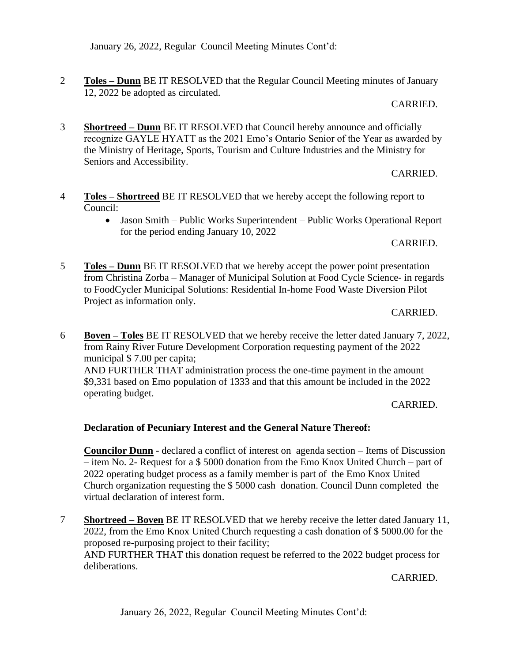January 26, 2022, Regular Council Meeting Minutes Cont'd:

2 **Toles – Dunn** BE IT RESOLVED that the Regular Council Meeting minutes of January 12, 2022 be adopted as circulated.

#### CARRIED.

3 **Shortreed – Dunn** BE IT RESOLVED that Council hereby announce and officially recognize GAYLE HYATT as the 2021 Emo's Ontario Senior of the Year as awarded by the Ministry of Heritage, Sports, Tourism and Culture Industries and the Ministry for Seniors and Accessibility.

### CARRIED.

- 4 **Toles – Shortreed** BE IT RESOLVED that we hereby accept the following report to Council:
	- Jason Smith Public Works Superintendent Public Works Operational Report for the period ending January 10, 2022

#### CARRIED.

5 **Toles – Dunn** BE IT RESOLVED that we hereby accept the power point presentation from Christina Zorba – Manager of Municipal Solution at Food Cycle Science- in regards to FoodCycler Municipal Solutions: Residential In-home Food Waste Diversion Pilot Project as information only.

#### CARRIED.

6 **Boven – Toles** BE IT RESOLVED that we hereby receive the letter dated January 7, 2022, from Rainy River Future Development Corporation requesting payment of the 2022 municipal \$ 7.00 per capita; AND FURTHER THAT administration process the one-time payment in the amount \$9,331 based on Emo population of 1333 and that this amount be included in the 2022

CARRIED.

### **Declaration of Pecuniary Interest and the General Nature Thereof:**

operating budget.

**Councilor Dunn** - declared a conflict of interest on agenda section – Items of Discussion – item No. 2- Request for a \$ 5000 donation from the Emo Knox United Church – part of 2022 operating budget process as a family member is part of the Emo Knox United Church organization requesting the \$ 5000 cash donation. Council Dunn completed the virtual declaration of interest form.

7 **Shortreed – Boven** BE IT RESOLVED that we hereby receive the letter dated January 11, 2022, from the Emo Knox United Church requesting a cash donation of \$ 5000.00 for the proposed re-purposing project to their facility; AND FURTHER THAT this donation request be referred to the 2022 budget process for deliberations.

CARRIED.

January 26, 2022, Regular Council Meeting Minutes Cont'd: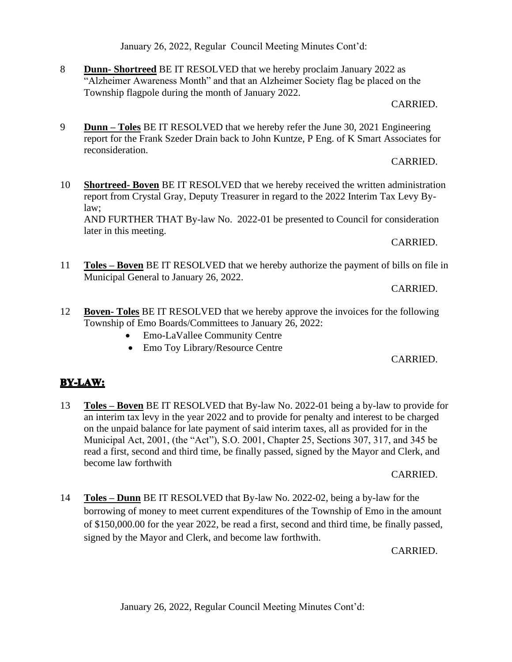January 26, 2022, Regular Council Meeting Minutes Cont'd:

### January 26, 2022, Regular Council Meeting Minutes Cont'd:

8 **Dunn- Shortreed** BE IT RESOLVED that we hereby proclaim January 2022 as "Alzheimer Awareness Month" and that an Alzheimer Society flag be placed on the Township flagpole during the month of January 2022.

#### CARRIED.

9 **Dunn – Toles** BE IT RESOLVED that we hereby refer the June 30, 2021 Engineering report for the Frank Szeder Drain back to John Kuntze, P Eng. of K Smart Associates for reconsideration.

## CARRIED.

10 **Shortreed- Boven** BE IT RESOLVED that we hereby received the written administration report from Crystal Gray, Deputy Treasurer in regard to the 2022 Interim Tax Levy Bylaw;

AND FURTHER THAT By-law No. 2022-01 be presented to Council for consideration later in this meeting.

## CARRIED.

11 **Toles – Boven** BE IT RESOLVED that we hereby authorize the payment of bills on file in Municipal General to January 26, 2022.

### CARRIED.

- 12 **Boven- Toles** BE IT RESOLVED that we hereby approve the invoices for the following Township of Emo Boards/Committees to January 26, 2022:
	- Emo-LaVallee Community Centre
	- Emo Toy Library/Resource Centre

## CARRIED.

# **BY-LAW:**

13 **Toles – Boven** BE IT RESOLVED that By-law No. 2022-01 being a by-law to provide for an interim tax levy in the year 2022 and to provide for penalty and interest to be charged on the unpaid balance for late payment of said interim taxes, all as provided for in the Municipal Act, 2001, (the "Act"), S.O. 2001, Chapter 25, Sections 307, 317, and 345 be read a first, second and third time, be finally passed, signed by the Mayor and Clerk, and become law forthwith

### CARRIED.

14 **Toles – Dunn** BE IT RESOLVED that By-law No. 2022-02, being a by-law for the borrowing of money to meet current expenditures of the Township of Emo in the amount of \$150,000.00 for the year 2022, be read a first, second and third time, be finally passed, signed by the Mayor and Clerk, and become law forthwith.

## CARRIED.